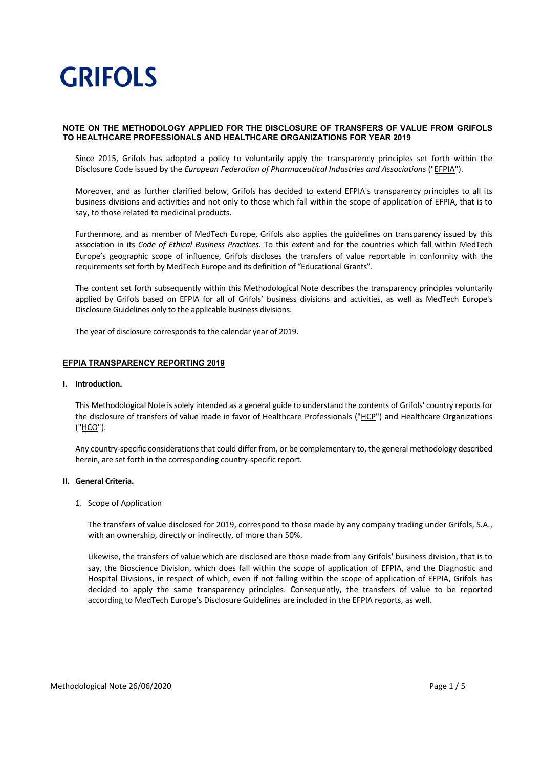### **NOTE ON THE METHODOLOGY APPLIED FOR THE DISCLOSURE OF TRANSFERS OF VALUE FROM GRIFOLS TO HEALTHCARE PROFESSIONALS AND HEALTHCARE ORGANIZATIONS FOR YEAR 2019**

Since 2015, Grifols has adopted a policy to voluntarily apply the transparency principles set forth within the Disclosure Code issued by the *European Federation of Pharmaceutical Industries and Associations* ("EFPIA").

Moreover, and as further clarified below, Grifols has decided to extend EFPIA's transparency principles to all its business divisions and activities and not only to those which fall within the scope of application of EFPIA, that is to say, to those related to medicinal products.

Furthermore, and as member of MedTech Europe, Grifols also applies the guidelines on transparency issued by this association in its *Code of Ethical Business Practices*. To this extent and for the countries which fall within MedTech Europe's geographic scope of influence, Grifols discloses the transfers of value reportable in conformity with the requirements set forth by MedTech Europe and its definition of "Educational Grants".

The content set forth subsequently within this Methodological Note describes the transparency principles voluntarily applied by Grifols based on EFPIA for all of Grifols' business divisions and activities, as well as MedTech Europe's Disclosure Guidelines only to the applicable business divisions.

The year of disclosure corresponds to the calendar year of 2019.

### **EFPIA TRANSPARENCY REPORTING 2019**

### **I. Introduction.**

This Methodological Note issolely intended as a general guide to understand the contents of Grifols' country reports for the disclosure of transfers of value made in favor of Healthcare Professionals ("HCP") and Healthcare Organizations ("HCO").

Any country‐specific considerations that could differ from, or be complementary to, the general methodology described herein, are set forth in the corresponding country‐specific report.

### **II. General Criteria.**

### 1. Scope of Application

The transfers of value disclosed for 2019, correspond to those made by any company trading under Grifols, S.A., with an ownership, directly or indirectly, of more than 50%.

Likewise, the transfers of value which are disclosed are those made from any Grifols' business division, that is to say, the Bioscience Division, which does fall within the scope of application of EFPIA, and the Diagnostic and Hospital Divisions, in respect of which, even if not falling within the scope of application of EFPIA, Grifols has decided to apply the same transparency principles. Consequently, the transfers of value to be reported according to MedTech Europe's Disclosure Guidelines are included in the EFPIA reports, as well.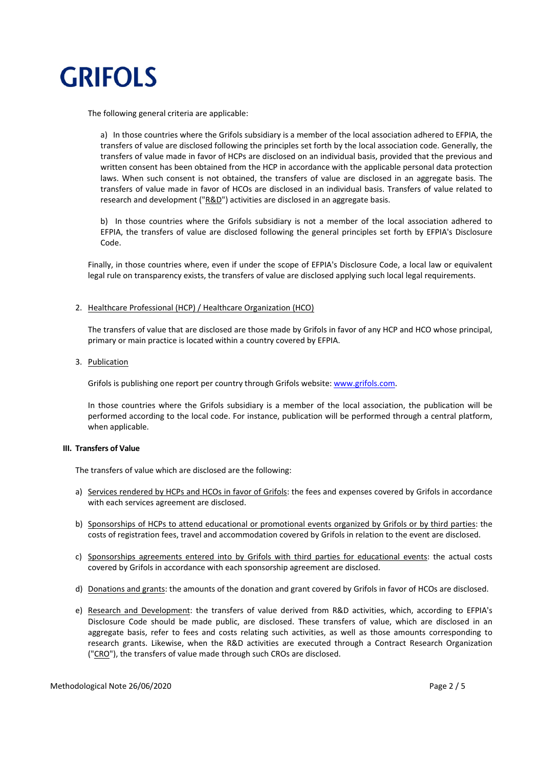

The following general criteria are applicable:

a) In those countries where the Grifols subsidiary is a member of the local association adhered to EFPIA, the transfers of value are disclosed following the principles set forth by the local association code. Generally, the transfers of value made in favor of HCPs are disclosed on an individual basis, provided that the previous and written consent has been obtained from the HCP in accordance with the applicable personal data protection laws. When such consent is not obtained, the transfers of value are disclosed in an aggregate basis. The transfers of value made in favor of HCOs are disclosed in an individual basis. Transfers of value related to research and development (" $R&D$ ") activities are disclosed in an aggregate basis.

b) In those countries where the Grifols subsidiary is not a member of the local association adhered to EFPIA, the transfers of value are disclosed following the general principles set forth by EFPIA's Disclosure Code.

Finally, in those countries where, even if under the scope of EFPIA's Disclosure Code, a local law or equivalent legal rule on transparency exists, the transfers of value are disclosed applying such local legal requirements.

### 2. Healthcare Professional (HCP) / Healthcare Organization (HCO)

The transfers of value that are disclosed are those made by Grifols in favor of any HCP and HCO whose principal, primary or main practice is located within a country covered by EFPIA.

### 3. Publication

Grifols is publishing one report per country through Grifols website: www.grifols.com.

In those countries where the Grifols subsidiary is a member of the local association, the publication will be performed according to the local code. For instance, publication will be performed through a central platform, when applicable.

#### **III. Transfers of Value**

The transfers of value which are disclosed are the following:

- a) Services rendered by HCPs and HCOs in favor of Grifols: the fees and expenses covered by Grifols in accordance with each services agreement are disclosed.
- b) Sponsorships of HCPs to attend educational or promotional events organized by Grifols or by third parties: the costs of registration fees, travel and accommodation covered by Grifols in relation to the event are disclosed.
- c) Sponsorships agreements entered into by Grifols with third parties for educational events: the actual costs covered by Grifols in accordance with each sponsorship agreement are disclosed.
- d) Donations and grants: the amounts of the donation and grant covered by Grifols in favor of HCOs are disclosed.
- e) Research and Development: the transfers of value derived from R&D activities, which, according to EFPIA's Disclosure Code should be made public, are disclosed. These transfers of value, which are disclosed in an aggregate basis, refer to fees and costs relating such activities, as well as those amounts corresponding to research grants. Likewise, when the R&D activities are executed through a Contract Research Organization ("CRO"), the transfers of value made through such CROs are disclosed.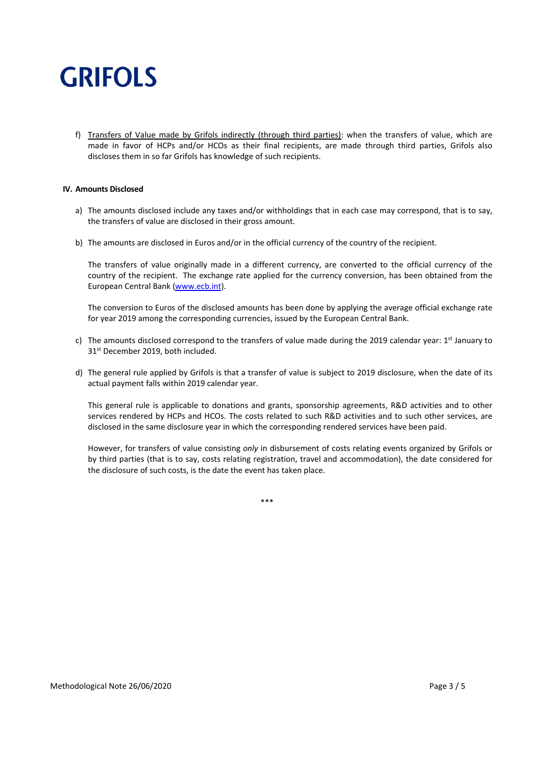f) Transfers of Value made by Grifols indirectly (through third parties): when the transfers of value, which are made in favor of HCPs and/or HCOs as their final recipients, are made through third parties, Grifols also discloses them in so far Grifols has knowledge of such recipients.

### **IV. Amounts Disclosed**

- a) The amounts disclosed include any taxes and/or withholdings that in each case may correspond, that is to say, the transfers of value are disclosed in their gross amount.
- b) The amounts are disclosed in Euros and/or in the official currency of the country of the recipient.

The transfers of value originally made in a different currency, are converted to the official currency of the country of the recipient. The exchange rate applied for the currency conversion, has been obtained from the European Central Bank (www.ecb.int).

The conversion to Euros of the disclosed amounts has been done by applying the average official exchange rate for year 2019 among the corresponding currencies, issued by the European Central Bank.

- c) The amounts disclosed correspond to the transfers of value made during the 2019 calendar year:  $1<sup>st</sup>$  January to 31<sup>st</sup> December 2019, both included.
- d) The general rule applied by Grifols is that a transfer of value is subject to 2019 disclosure, when the date of its actual payment falls within 2019 calendar year.

This general rule is applicable to donations and grants, sponsorship agreements, R&D activities and to other services rendered by HCPs and HCOs. The costs related to such R&D activities and to such other services, are disclosed in the same disclosure year in which the corresponding rendered services have been paid.

However, for transfers of value consisting *only* in disbursement of costs relating events organized by Grifols or by third parties (that is to say, costs relating registration, travel and accommodation), the date considered for the disclosure of such costs, is the date the event has taken place.

\*\*\*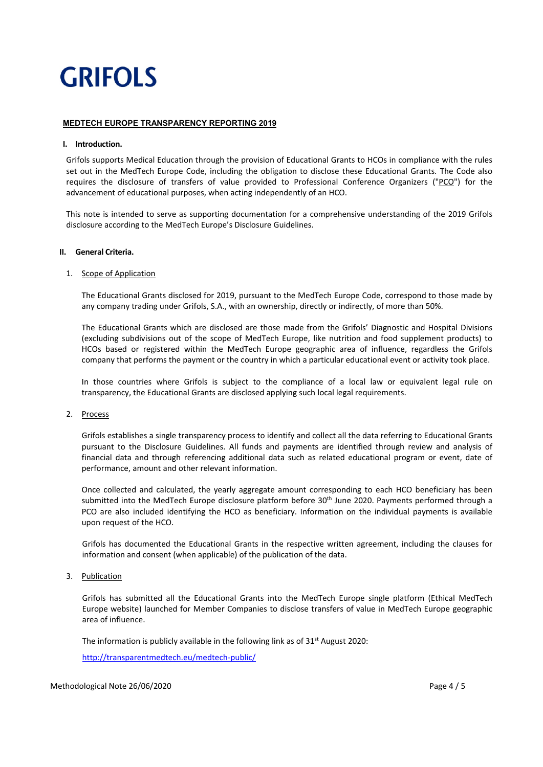### **MEDTECH EUROPE TRANSPARENCY REPORTING 2019**

### **I. Introduction.**

Grifols supports Medical Education through the provision of Educational Grants to HCOs in compliance with the rules set out in the MedTech Europe Code, including the obligation to disclose these Educational Grants. The Code also requires the disclosure of transfers of value provided to Professional Conference Organizers ("PCO") for the advancement of educational purposes, when acting independently of an HCO.

This note is intended to serve as supporting documentation for a comprehensive understanding of the 2019 Grifols disclosure according to the MedTech Europe's Disclosure Guidelines.

### **II. General Criteria.**

### 1. Scope of Application

The Educational Grants disclosed for 2019, pursuant to the MedTech Europe Code, correspond to those made by any company trading under Grifols, S.A., with an ownership, directly or indirectly, of more than 50%.

The Educational Grants which are disclosed are those made from the Grifols' Diagnostic and Hospital Divisions (excluding subdivisions out of the scope of MedTech Europe, like nutrition and food supplement products) to HCOs based or registered within the MedTech Europe geographic area of influence, regardless the Grifols company that performs the payment or the country in which a particular educational event or activity took place.

In those countries where Grifols is subject to the compliance of a local law or equivalent legal rule on transparency, the Educational Grants are disclosed applying such local legal requirements.

### 2. Process

Grifols establishes a single transparency process to identify and collect all the data referring to Educational Grants pursuant to the Disclosure Guidelines. All funds and payments are identified through review and analysis of financial data and through referencing additional data such as related educational program or event, date of performance, amount and other relevant information.

Once collected and calculated, the yearly aggregate amount corresponding to each HCO beneficiary has been submitted into the MedTech Europe disclosure platform before 30<sup>th</sup> June 2020. Payments performed through a PCO are also included identifying the HCO as beneficiary. Information on the individual payments is available upon request of the HCO.

Grifols has documented the Educational Grants in the respective written agreement, including the clauses for information and consent (when applicable) of the publication of the data.

### 3. Publication

Grifols has submitted all the Educational Grants into the MedTech Europe single platform (Ethical MedTech Europe website) launched for Member Companies to disclose transfers of value in MedTech Europe geographic area of influence.

The information is publicly available in the following link as of 31<sup>st</sup> August 2020:

http://transparentmedtech.eu/medtech‐public/